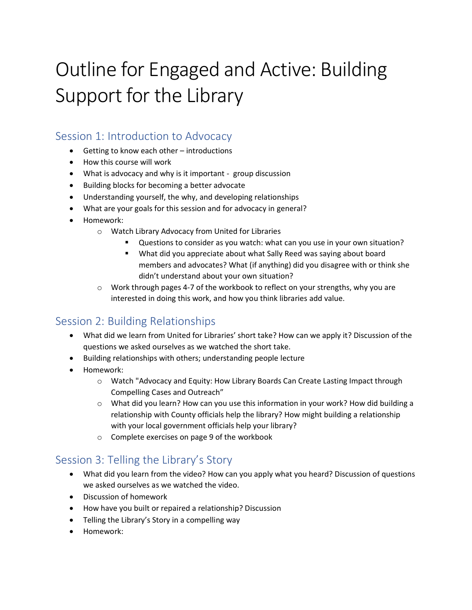# Outline for Engaged and Active: Building Support for the Library

#### Session 1: Introduction to Advocacy

- Getting to know each other introductions
- How this course will work
- What is advocacy and why is it important group discussion
- Building blocks for becoming a better advocate
- Understanding yourself, the why, and developing relationships
- What are your goals for this session and for advocacy in general?
- Homework:
	- o Watch Library Advocacy from United for Libraries
		- Questions to consider as you watch: what can you use in your own situation?
		- What did you appreciate about what Sally Reed was saying about board members and advocates? What (if anything) did you disagree with or think she didn't understand about your own situation?
	- $\circ$  Work through pages 4-7 of the workbook to reflect on your strengths, why you are interested in doing this work, and how you think libraries add value.

## Session 2: Building Relationships

- What did we learn from United for Libraries' short take? How can we apply it? Discussion of the questions we asked ourselves as we watched the short take.
- Building relationships with others; understanding people lecture
- Homework:
	- o Watch "Advocacy and Equity: How Library Boards Can Create Lasting Impact through Compelling Cases and Outreach"
	- $\circ$  What did you learn? How can you use this information in your work? How did building a relationship with County officials help the library? How might building a relationship with your local government officials help your library?
	- o Complete exercises on page 9 of the workbook

### Session 3: Telling the Library's Story

- What did you learn from the video? How can you apply what you heard? Discussion of questions we asked ourselves as we watched the video.
- Discussion of homework
- How have you built or repaired a relationship? Discussion
- Telling the Library's Story in a compelling way
- Homework: